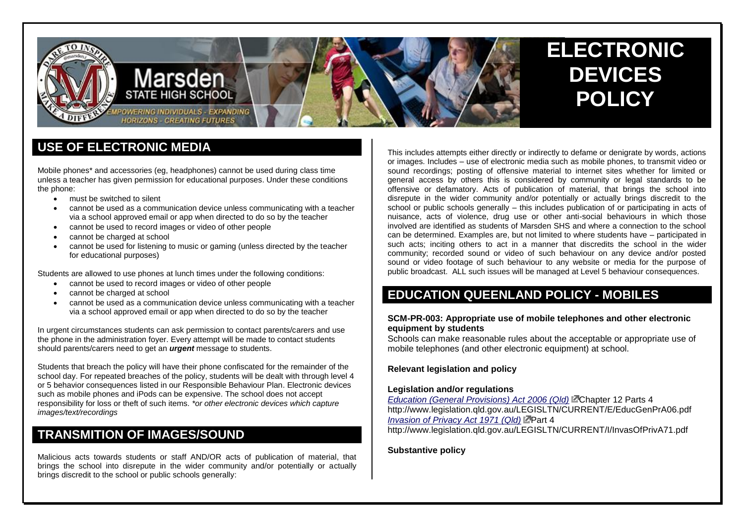

# **USE OF ELECTRONIC MEDIA**

Mobile phones\* and accessories (eg, headphones) cannot be used during class time unless a teacher has given permission for educational purposes. Under these conditions the phone:

- **•** must be switched to silent
- cannot be used as a communication device unless communicating with a teacher via a school approved email or app when directed to do so by the teacher
- cannot be used to record images or video of other people
- cannot be charged at school
- cannot be used for listening to music or gaming (unless directed by the teacher for educational purposes)

Students are allowed to use phones at lunch times under the following conditions:

- cannot be used to record images or video of other people
- cannot be charged at school
- cannot be used as a communication device unless communicating with a teacher via a school approved email or app when directed to do so by the teacher

In urgent circumstances students can ask permission to contact parents/carers and use the phone in the administration foyer. Every attempt will be made to contact students should parents/carers need to get an *urgent* message to students.

Students that breach the policy will have their phone confiscated for the remainder of the school day. For repeated breaches of the policy, students will be dealt with through level 4 or 5 behavior consequences listed in our Responsible Behaviour Plan. Electronic devices such as mobile phones and iPods can be expensive. The school does not accept responsibility for loss or theft of such items. *\*or other electronic devices which capture images/text/recordings*

# **TRANSMITION OF IMAGES/SOUND**

Malicious acts towards students or staff AND/OR acts of publication of material, that brings the school into disrepute in the wider community and/or potentially or actually brings discredit to the school or public schools generally:

This includes attempts either directly or indirectly to defame or denigrate by words, actions or images. Includes – use of electronic media such as mobile phones, to transmit video or sound recordings; posting of offensive material to internet sites whether for limited or general access by others this is considered by community or legal standards to be offensive or defamatory. Acts of publication of material, that brings the school into disrepute in the wider community and/or potentially or actually brings discredit to the school or public schools generally – this includes publication of or participating in acts of nuisance, acts of violence, drug use or other anti-social behaviours in which those involved are identified as students of Marsden SHS and where a connection to the school can be determined. Examples are, but not limited to where students have – participated in such acts; inciting others to act in a manner that discredits the school in the wider community; recorded sound or video of such behaviour on any device and/or posted sound or video footage of such behaviour to any website or media for the purpose of public broadcast. ALL such issues will be managed at Level 5 behaviour consequences.

# **EDUCATION QUEENLAND POLICY - MOBILES**

### **SCM-PR-003: Appropriate use of mobile telephones and other electronic equipment by students**

Schools can make reasonable rules about the acceptable or appropriate use of mobile telephones (and other electronic equipment) at school.

### **Relevant legislation and policy**

#### **Legislation and/or regulations**

*[Education \(General Provisions\) Act 2006 \(Qld\)](http://www.legislation.qld.gov.au/LEGISLTN/CURRENT/E/EducGenPrA06.pdf)* Chapter 12 Parts 4 http://www.legislation.qld.gov.au/LEGISLTN/CURRENT/E/EducGenPrA06.pdf *[Invasion of Privacy Act 1971 \(Qld\)](http://www.legislation.qld.gov.au/LEGISLTN/CURRENT/I/InvasOfPrivA71.pdf)* Part 4 http://www.legislation.gld.gov.au/LEGISLTN/CURRENT/I/InvasOfPrivA71.pdf

**Substantive policy**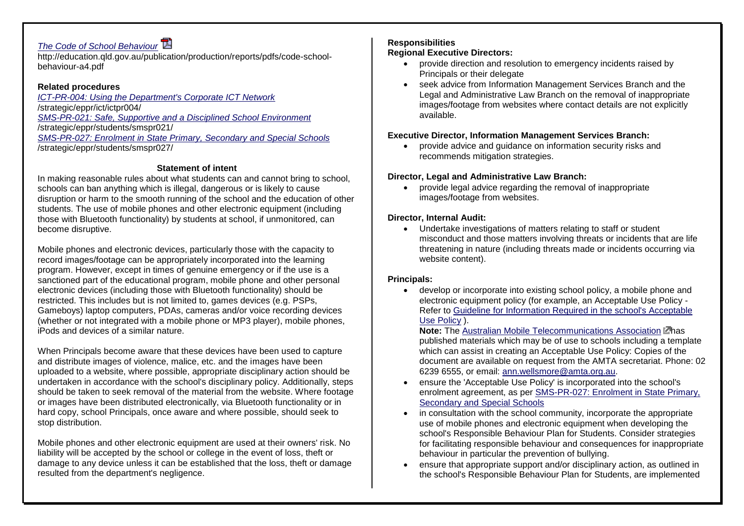## *[The Code of School Behaviour](http://education.qld.gov.au/publication/production/reports/pdfs/code-school-behaviour-a4.pdf)*

http://education.qld.gov.au/publication/production/reports/pdfs/code-schoolbehaviour-a4.pdf

### **Related procedures**

*[ICT-PR-004: Using the Department's Corporate ICT Network](http://education.qld.gov.au/strategic/eppr/ict/ictpr004/)* /strategic/eppr/ict/ictpr004/ *[SMS-PR-021: Safe, Supportive and a Disciplined School Environment](http://education.qld.gov.au/strategic/eppr/students/smspr021/)* /strategic/eppr/students/smspr021/ *[SMS-PR-027: Enrolment in State Primary, Secondary and Special Schools](http://education.qld.gov.au/strategic/eppr/students/smspr027/)* /strategic/eppr/students/smspr027/

### **Statement of intent**

In making reasonable rules about what students can and cannot bring to school, schools can ban anything which is illegal, dangerous or is likely to cause disruption or harm to the smooth running of the school and the education of other students. The use of mobile phones and other electronic equipment (including those with Bluetooth functionality) by students at school, if unmonitored, can become disruptive.

Mobile phones and electronic devices, particularly those with the capacity to record images/footage can be appropriately incorporated into the learning program. However, except in times of genuine emergency or if the use is a sanctioned part of the educational program, mobile phone and other personal electronic devices (including those with Bluetooth functionality) should be restricted. This includes but is not limited to, games devices (e.g. PSPs, Gameboys) laptop computers, PDAs, cameras and/or voice recording devices (whether or not integrated with a mobile phone or MP3 player), mobile phones, iPods and devices of a similar nature.

When Principals become aware that these devices have been used to capture and distribute images of violence, malice, etc. and the images have been uploaded to a website, where possible, appropriate disciplinary action should be undertaken in accordance with the school's disciplinary policy. Additionally, steps should be taken to seek removal of the material from the website. Where footage or images have been distributed electronically, via Bluetooth functionality or in hard copy, school Principals, once aware and where possible, should seek to stop distribution.

Mobile phones and other electronic equipment are used at their owners' risk. No liability will be accepted by the school or college in the event of loss, theft or damage to any device unless it can be established that the loss, theft or damage resulted from the department's negligence.

## **Responsibilities**

## **Regional Executive Directors:**

- provide direction and resolution to emergency incidents raised by Principals or their delegate
- seek advice from Information Management Services Branch and the Legal and Administrative Law Branch on the removal of inappropriate images/footage from websites where contact details are not explicitly available.

## **Executive Director, Information Management Services Branch:**

 provide advice and guidance on information security risks and recommends mitigation strategies.

### **Director, Legal and Administrative Law Branch:**

 provide legal advice regarding the removal of inappropriate images/footage from websites.

## **Director, Internal Audit:**

 Undertake investigations of matters relating to staff or student misconduct and those matters involving threats or incidents that are life threatening in nature (including threats made or incidents occurring via website content).

### **Principals:**

 develop or incorporate into existing school policy, a mobile phone and electronic equipment policy (for example, an Acceptable Use Policy - Refer to [Guideline for Information Required in the school's Acceptable](http://education.qld.gov.au/strategic/eppr/schools/scmpr003/guideline.html)  [Use Policy](http://education.qld.gov.au/strategic/eppr/schools/scmpr003/guideline.html) ).

**Note:** The [Australian Mobile Telecommunications Association](http://www.amta.org.au/) Lahas published materials which may be of use to schools including a template which can assist in creating an Acceptable Use Policy: Copies of the document are available on request from the AMTA secretariat. Phone: 02 6239 6555, or email: [ann.wellsmore@amta.org.au.](mailto:ann.wellsmore@amta.org.au)

- ensure the 'Acceptable Use Policy' is incorporated into the school's enrolment agreement, as per [SMS-PR-027: Enrolment in State Primary,](http://education.qld.gov.au/strategic/eppr/students/smspr027/)  [Secondary and Special Schools](http://education.qld.gov.au/strategic/eppr/students/smspr027/)
- in consultation with the school community, incorporate the appropriate use of mobile phones and electronic equipment when developing the school's Responsible Behaviour Plan for Students. Consider strategies for facilitating responsible behaviour and consequences for inappropriate behaviour in particular the prevention of bullying.
- ensure that appropriate support and/or disciplinary action, as outlined in the school's Responsible Behaviour Plan for Students, are implemented